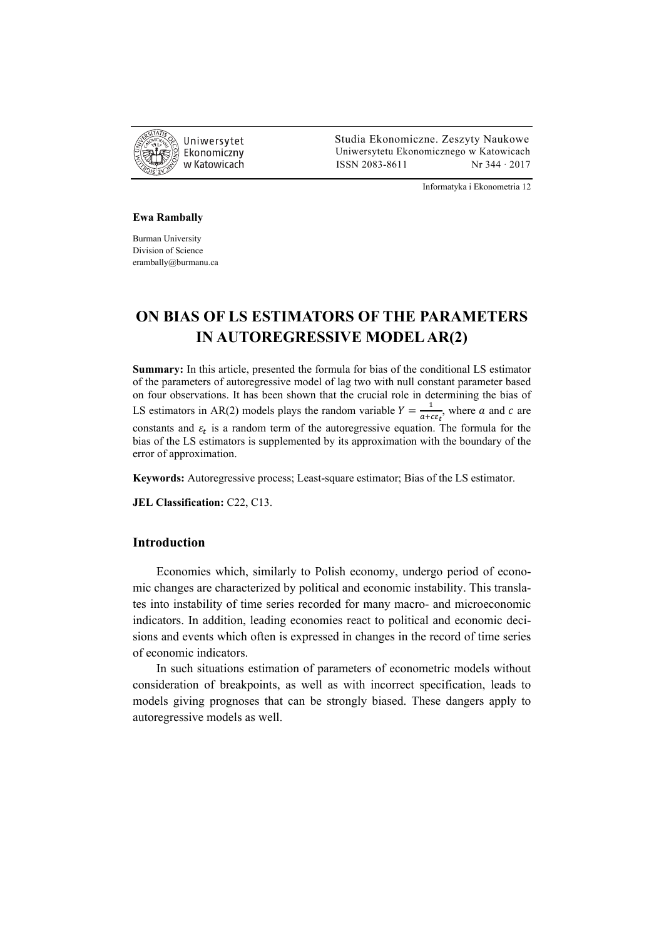

 Studia Ekonomiczne. Zeszyty Naukowe Ekonomiczny Uniwersytetu Ekonomicznego w Katowicach w Katowicach Matsus (ISSN 2083-8611 Nr 344 · 2017

Informatyka i Ekonometria 12

#### **Ewa Rambally**

Burman University Division of Science erambally@burmanu.ca

## **ON BIAS OF LS ESTIMATORS OF THE PARAMETERS IN AUTOREGRESSIVE MODEL AR(2)**

**Summary:** In this article, presented the formula for bias of the conditional LS estimator of the parameters of autoregressive model of lag two with null constant parameter based on four observations. It has been shown that the crucial role in determining the bias of LS estimators in AR(2) models plays the random variable  $Y = \frac{1}{a + c \epsilon_t}$ , where a and c are constants and  $\varepsilon_t$  is a random term of the autoregressive equation. The formula for the bias of the LS estimators is supplemented by its approximation with the boundary of the error of approximation.

**Keywords:** Autoregressive process; Least-square estimator; Bias of the LS estimator.

**JEL Classification:** C22, C13.

### **Introduction**

Economies which, similarly to Polish economy, undergo period of economic changes are characterized by political and economic instability. This translates into instability of time series recorded for many macro- and microeconomic indicators. In addition, leading economies react to political and economic decisions and events which often is expressed in changes in the record of time series of economic indicators.

In such situations estimation of parameters of econometric models without consideration of breakpoints, as well as with incorrect specification, leads to models giving prognoses that can be strongly biased. These dangers apply to autoregressive models as well.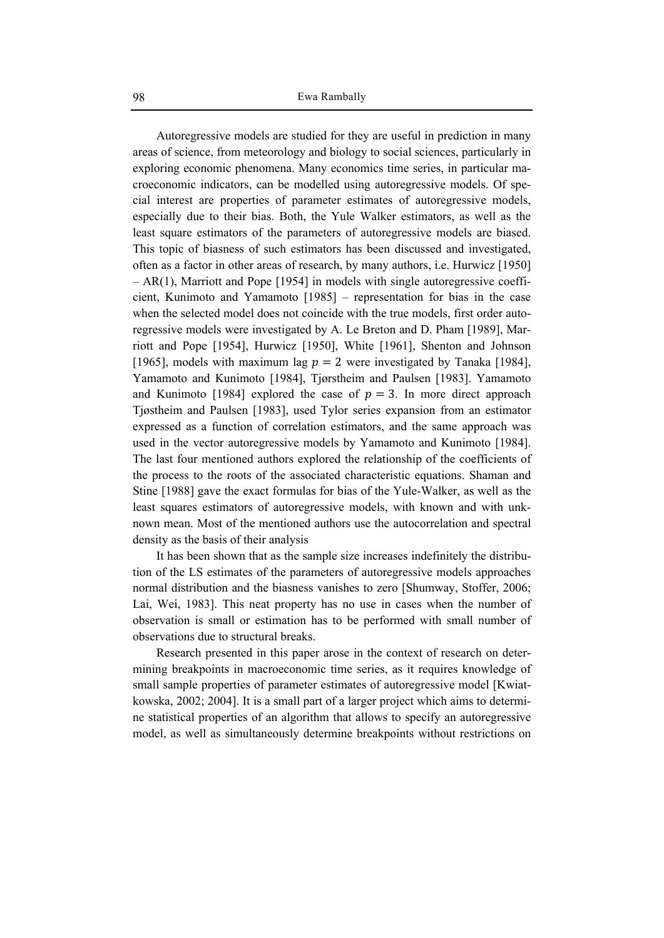Autoregressive models are studied for they are useful in prediction in many areas of science, from meteorology and biology to social sciences, particularly in exploring economic phenomena. Many economics time series, in particular macroeconomic indicators, can be modelled using autoregressive models. Of special interest are properties of parameter estimates of autoregressive models, especially due to their bias. Both, the Yule Walker estimators, as well as the least square estimators of the parameters of autoregressive models are biased. This topic of biasness of such estimators has been discussed and investigated, often as a factor in other areas of research, by many authors, i.e. Hurwicz [1950] – AR(1), Marriott and Pope [1954] in models with single autoregressive coefficient, Kunimoto and Yamamoto [1985] – representation for bias in the case when the selected model does not coincide with the true models, first order autoregressive models were investigated by A. Le Breton and D. Pham [1989], Marriott and Pope [1954], Hurwicz [1950], White [1961], Shenton and Johnson [1965], models with maximum lag  $p = 2$  were investigated by Tanaka [1984], Yamamoto and Kunimoto [1984], Tjørstheim and Paulsen [1983]. Yamamoto and Kunimoto [1984] explored the case of  $p = 3$ . In more direct approach Tjøstheim and Paulsen [1983], used Tylor series expansion from an estimator expressed as a function of correlation estimators, and the same approach was used in the vector autoregressive models by Yamamoto and Kunimoto [1984]. The last four mentioned authors explored the relationship of the coefficients of the process to the roots of the associated characteristic equations. Shaman and Stine [1988] gave the exact formulas for bias of the Yule-Walker, as well as the least squares estimators of autoregressive models, with known and with unknown mean. Most of the mentioned authors use the autocorrelation and spectral density as the basis of their analysis

It has been shown that as the sample size increases indefinitely the distribution of the LS estimates of the parameters of autoregressive models approaches normal distribution and the biasness vanishes to zero [Shumway, Stoffer, 2006; Lai, Wei, 1983]. This neat property has no use in cases when the number of observation is small or estimation has to be performed with small number of observations due to structural breaks.

Research presented in this paper arose in the context of research on determining breakpoints in macroeconomic time series, as it requires knowledge of small sample properties of parameter estimates of autoregressive model [Kwiatkowska, 2002; 2004]. It is a small part of a larger project which aims to determine statistical properties of an algorithm that allows to specify an autoregressive model, as well as simultaneously determine breakpoints without restrictions on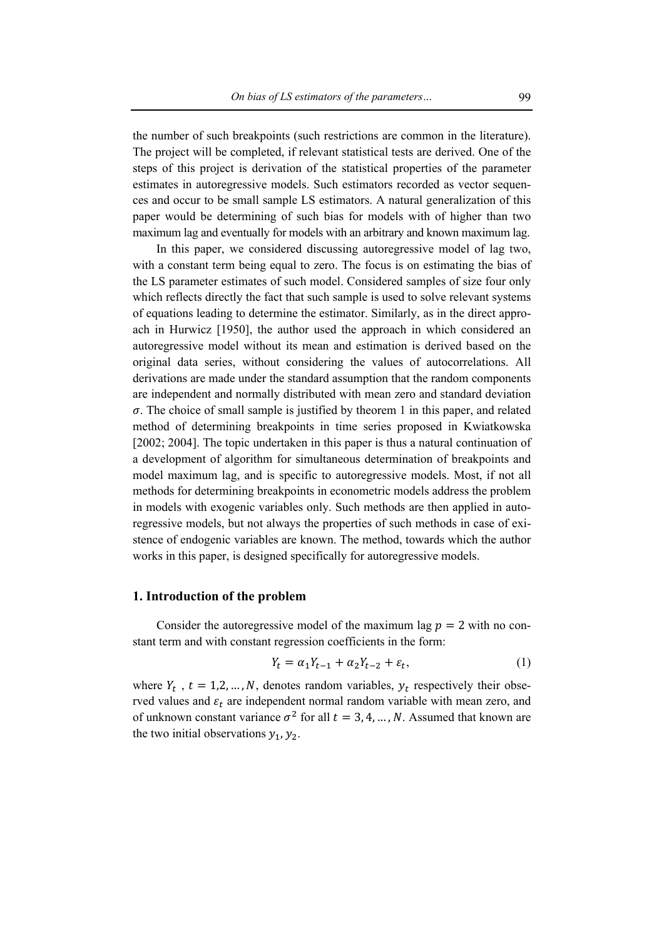the number of such breakpoints (such restrictions are common in the literature). The project will be completed, if relevant statistical tests are derived. One of the steps of this project is derivation of the statistical properties of the parameter estimates in autoregressive models. Such estimators recorded as vector sequences and occur to be small sample LS estimators. A natural generalization of this paper would be determining of such bias for models with of higher than two maximum lag and eventually for models with an arbitrary and known maximum lag.

In this paper, we considered discussing autoregressive model of lag two, with a constant term being equal to zero. The focus is on estimating the bias of the LS parameter estimates of such model. Considered samples of size four only which reflects directly the fact that such sample is used to solve relevant systems of equations leading to determine the estimator. Similarly, as in the direct approach in Hurwicz [1950], the author used the approach in which considered an autoregressive model without its mean and estimation is derived based on the original data series, without considering the values of autocorrelations. All derivations are made under the standard assumption that the random components are independent and normally distributed with mean zero and standard deviation  $\sigma$ . The choice of small sample is justified by theorem 1 in this paper, and related method of determining breakpoints in time series proposed in Kwiatkowska [2002; 2004]. The topic undertaken in this paper is thus a natural continuation of a development of algorithm for simultaneous determination of breakpoints and model maximum lag, and is specific to autoregressive models. Most, if not all methods for determining breakpoints in econometric models address the problem in models with exogenic variables only. Such methods are then applied in autoregressive models, but not always the properties of such methods in case of existence of endogenic variables are known. The method, towards which the author works in this paper, is designed specifically for autoregressive models.

### **1. Introduction of the problem**

Consider the autoregressive model of the maximum lag  $p = 2$  with no constant term and with constant regression coefficients in the form:

$$
Y_t = \alpha_1 Y_{t-1} + \alpha_2 Y_{t-2} + \varepsilon_t, \tag{1}
$$

where  $Y_t$ ,  $t = 1, 2, ..., N$ , denotes random variables,  $y_t$  respectively their observed values and  $\varepsilon_t$  are independent normal random variable with mean zero, and of unknown constant variance  $\sigma^2$  for all  $t = 3, 4, ..., N$ . Assumed that known are the two initial observations  $y_1, y_2$ .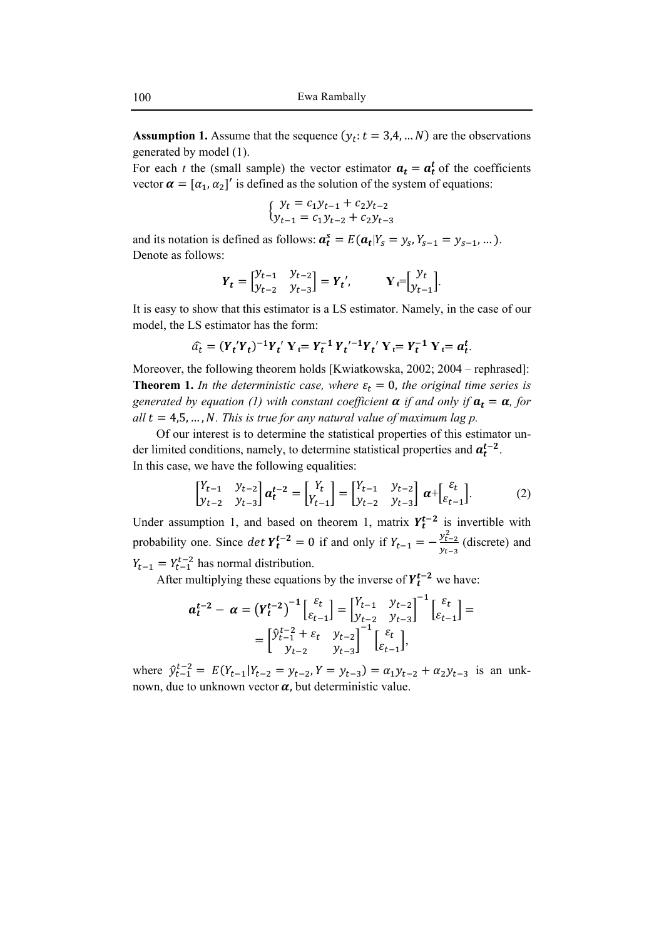**Assumption 1.** Assume that the sequence  $(y_t: t = 3, 4, ... N)$  are the observations generated by model (1).

For each *t* the (small sample) the vector estimator  $a_t = a_t^t$  of the coefficients vector  $\alpha = [\alpha_1, \alpha_2]'$  is defined as the solution of the system of equations:

$$
\begin{cases}\ny_t = c_1 y_{t-1} + c_2 y_{t-2} \\
y_{t-1} = c_1 y_{t-2} + c_2 y_{t-3}\n\end{cases}
$$

and its notation is defined as follows:  $a_t^s = E(a_t|Y_s = y_s, Y_{s-1} = y_{s-1}, \dots)$ . Denote as follows:

$$
\boldsymbol{Y}_t = \begin{bmatrix} \mathcal{Y}_{t-1} & \mathcal{Y}_{t-2} \\ \mathcal{Y}_{t-2} & \mathcal{Y}_{t-3} \end{bmatrix} = \boldsymbol{Y}_t', \qquad \mathbf{Y}_t = \begin{bmatrix} \mathcal{Y}_t \\ \mathcal{Y}_{t-1} \end{bmatrix}.
$$

It is easy to show that this estimator is a LS estimator. Namely, in the case of our model, the LS estimator has the form:

$$
\hat{a_t} = (Y_t'Y_t)^{-1}Y_t'Y_t = Y_t^{-1}Y_t'^{-1}Y_t'Y_t = Y_t^{-1}Y_t = a_t^t.
$$

Moreover, the following theorem holds [Kwiatkowska, 2002; 2004 – rephrased]: **Theorem 1.** In the deterministic case, where  $\varepsilon_t = 0$ , the original time series is *generated by equation (1) with constant coefficient*  $\alpha$  *if and only if*  $a_t = \alpha$ *, for*  $all t = 4.5, ..., N$ . This is true for any natural value of maximum lag p.

Of our interest is to determine the statistical properties of this estimator under limited conditions, namely, to determine statistical properties and  $a_t^{t-2}$ . In this case, we have the following equalities:

$$
\begin{bmatrix} Y_{t-1} & y_{t-2} \\ y_{t-2} & y_{t-3} \end{bmatrix} \mathbf{a}_t^{t-2} = \begin{bmatrix} Y_t \\ Y_{t-1} \end{bmatrix} = \begin{bmatrix} Y_{t-1} & y_{t-2} \\ y_{t-2} & y_{t-3} \end{bmatrix} \mathbf{\alpha} + \begin{bmatrix} \varepsilon_t \\ \varepsilon_{t-1} \end{bmatrix} . \tag{2}
$$

Under assumption 1, and based on theorem 1, matrix  $Y_t^{t-2}$  is invertible with probability one. Since  $\det Y_t^{t-2} = 0$  if and only if  $Y_{t-1} = -\frac{y_{t-2}^2}{y}$  $\frac{y_{t-2}}{y_{t-3}}$  (discrete) and  $Y_{t-1} = Y_{t-1}^{t-2}$  has normal distribution.

After multiplying these equations by the inverse of  $Y_t^{t-2}$  we have:

$$
a_t^{t-2} - \alpha = \left(Y_t^{t-2}\right)^{-1} \begin{bmatrix} \varepsilon_t \\ \varepsilon_{t-1} \end{bmatrix} = \begin{bmatrix} Y_{t-1} & y_{t-2} \\ y_{t-2} & y_{t-3} \end{bmatrix}^{-1} \begin{bmatrix} \varepsilon_t \\ \varepsilon_{t-1} \end{bmatrix} =
$$

$$
= \begin{bmatrix} \hat{y}_{t-1}^{t-2} + \varepsilon_t & y_{t-2} \\ y_{t-2} & y_{t-3} \end{bmatrix}^{-1} \begin{bmatrix} \varepsilon_t \\ \varepsilon_{t-1} \end{bmatrix},
$$

where  $\hat{y}_{t-1}^{t-2} = E(Y_{t-1}|Y_{t-2} = y_{t-2}, Y = y_{t-3}) = \alpha_1 y_{t-2} + \alpha_2 y_{t-3}$  is an unknown, due to unknown vector  $\alpha$ , but deterministic value.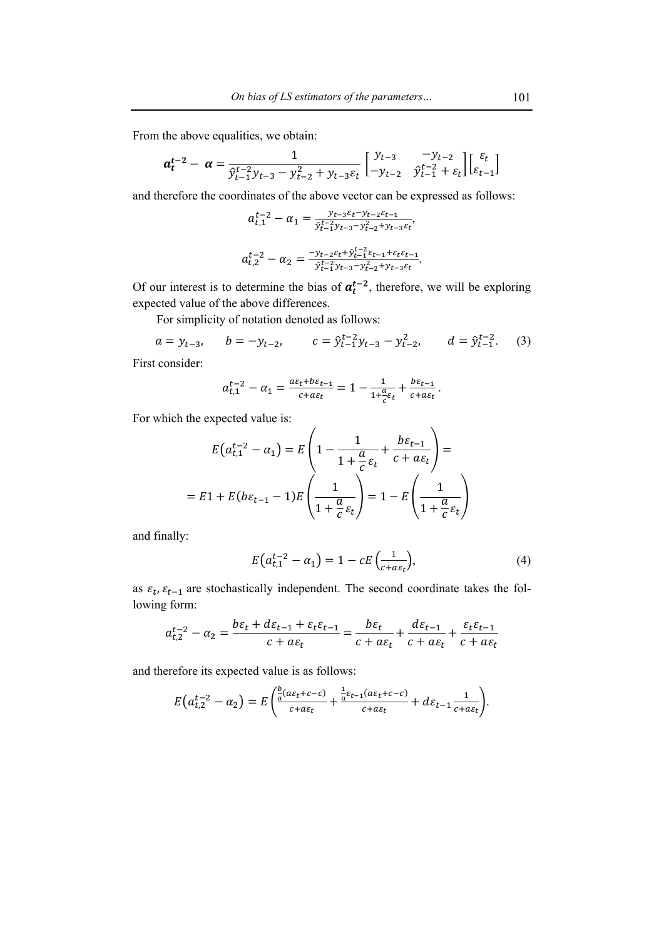From the above equalities, we obtain:

$$
a_t^{t-2} - \alpha = \frac{1}{\hat{y}_{t-1}^{t-2} y_{t-3} - y_{t-2}^2 + y_{t-3} \varepsilon_t} \begin{bmatrix} y_{t-3} & -y_{t-2} \\ -y_{t-2} & \hat{y}_{t-1}^{t-2} + \varepsilon_t \end{bmatrix} \begin{bmatrix} \varepsilon_t \\ \varepsilon_{t-1} \end{bmatrix}
$$

and therefore the coordinates of the above vector can be expressed as follows:

$$
a_{t,1}^{t-2} - \alpha_1 = \frac{y_{t-3}\varepsilon_t - y_{t-2}\varepsilon_{t-1}}{\hat{y}_{t-1}^{t-2}y_{t-3} - y_{t-2}^2 + y_{t-3}\varepsilon_t},
$$
  

$$
a_{t,2}^{t-2} - \alpha_2 = \frac{-y_{t-2}\varepsilon_t + \hat{y}_{t-1}^{t-2}\varepsilon_{t-1} + \varepsilon_t\varepsilon_{t-1}}{\hat{y}_{t-1}^{t-2}y_{t-3} - y_{t-2}^2 + y_{t-3}\varepsilon_t}.
$$

Of our interest is to determine the bias of  $a_t^{t-2}$ , therefore, we will be exploring expected value of the above differences.

For simplicity of notation denoted as follows:

$$
a = y_{t-3}
$$
,  $b = -y_{t-2}$ ,  $c = \hat{y}_{t-1}^{t-2}y_{t-3} - y_{t-2}^2$ ,  $d = \hat{y}_{t-1}^{t-2}$ . (3)

First consider:

$$
a_{t,1}^{t-2}-\alpha_1=\frac{a\epsilon_t+b\epsilon_{t-1}}{c+a\epsilon_t}=1-\frac{1}{1+\frac{a}{c}\epsilon_t}+\frac{b\epsilon_{t-1}}{c+a\epsilon_t}.
$$

 $\overline{\phantom{a}}$ 

For which the expected value is:

$$
E(a_{t,1}^{t-2} - \alpha_1) = E\left(1 - \frac{1}{1 + \frac{a}{c}\varepsilon_t} + \frac{b\varepsilon_{t-1}}{c + a\varepsilon_t}\right) =
$$
  
= 
$$
E1 + E(b\varepsilon_{t-1} - 1)E\left(\frac{1}{1 + \frac{a}{c}\varepsilon_t}\right) = 1 - E\left(\frac{1}{1 + \frac{a}{c}\varepsilon_t}\right)
$$

and finally:

$$
E\left(a_{t,1}^{t-2} - a_1\right) = 1 - cE\left(\frac{1}{c + a\varepsilon_t}\right),\tag{4}
$$

as  $\varepsilon_t$ ,  $\varepsilon_{t-1}$  are stochastically independent. The second coordinate takes the following form:

$$
a_{t,2}^{t-2} - \alpha_2 = \frac{b\varepsilon_t + d\varepsilon_{t-1} + \varepsilon_t \varepsilon_{t-1}}{c + a\varepsilon_t} = \frac{b\varepsilon_t}{c + a\varepsilon_t} + \frac{d\varepsilon_{t-1}}{c + a\varepsilon_t} + \frac{\varepsilon_t \varepsilon_{t-1}}{c + a\varepsilon_t}
$$

and therefore its expected value is as follows:

$$
E\left(a_{t,2}^{t-2}-\alpha_2\right)=E\left(\frac{\frac{b}{a}(a\varepsilon_t+c-c)}{c+a\varepsilon_t}+\frac{\frac{1}{a}\varepsilon_{t-1}(a\varepsilon_t+c-c)}{c+a\varepsilon_t}+d\varepsilon_{t-1}\frac{1}{c+a\varepsilon_t}\right).
$$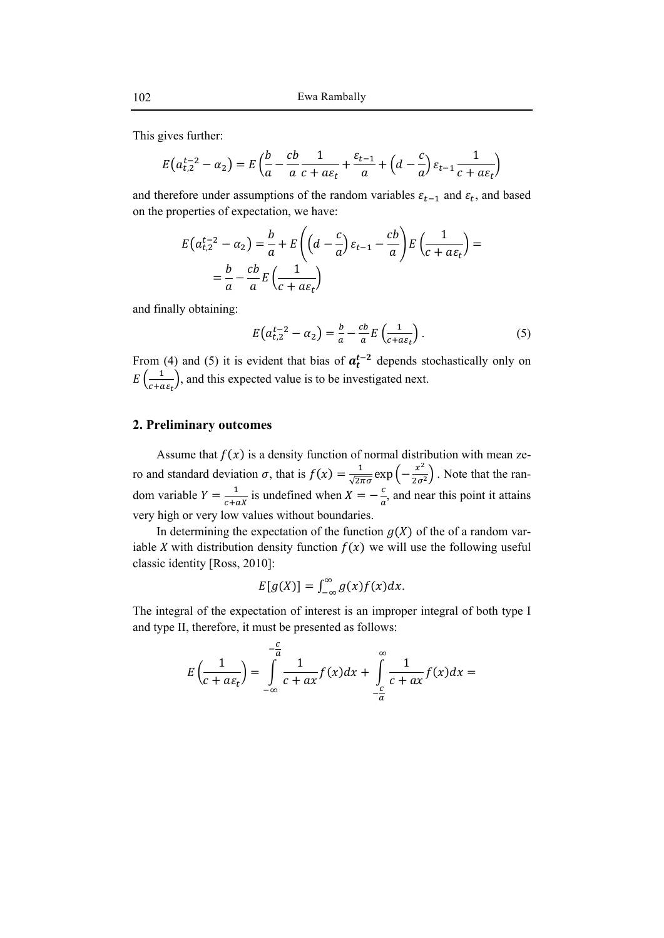This gives further:

$$
E(a_{t,2}^{t-2} - \alpha_2) = E\left(\frac{b}{a} - \frac{cb}{a}\frac{1}{c + a\varepsilon_t} + \frac{\varepsilon_{t-1}}{a} + \left(d - \frac{c}{a}\right)\varepsilon_{t-1}\frac{1}{c + a\varepsilon_t}\right)
$$

and therefore under assumptions of the random variables  $\varepsilon_{t-1}$  and  $\varepsilon_t$ , and based on the properties of expectation, we have:

$$
E(a_{t,2}^{t-2} - \alpha_2) = \frac{b}{a} + E\left(\left(d - \frac{c}{a}\right)\varepsilon_{t-1} - \frac{cb}{a}\right)E\left(\frac{1}{c + a\varepsilon_t}\right) =
$$

$$
= \frac{b}{a} - \frac{cb}{a}E\left(\frac{1}{c + a\varepsilon_t}\right)
$$

and finally obtaining:

$$
E\left(a_{t,2}^{t-2} - a_2\right) = \frac{b}{a} - \frac{cb}{a}E\left(\frac{1}{c + a\varepsilon_t}\right). \tag{5}
$$

From (4) and (5) it is evident that bias of  $a_t^{t-2}$  depends stochastically only on  $E\left(\frac{1}{c+a\epsilon_t}\right)$ , and this expected value is to be investigated next.

### **2. Preliminary outcomes**

Assume that  $f(x)$  is a density function of normal distribution with mean zero and standard deviation  $\sigma$ , that is  $f(x) = \frac{1}{\sqrt{2\pi\sigma}} \exp\left(-\frac{x^2}{2\sigma^2}\right)$ . Note that the random variable  $Y = \frac{1}{c + aX}$  is undefined when  $X = -\frac{c}{a}$ , and near this point it attains very high or very low values without boundaries.

In determining the expectation of the function  $q(X)$  of the of a random variable X with distribution density function  $f(x)$  we will use the following useful classic identity [Ross, 2010]:

$$
E[g(X)] = \int_{-\infty}^{\infty} g(x) f(x) dx.
$$

The integral of the expectation of interest is an improper integral of both type I and type II, therefore, it must be presented as follows:

$$
E\left(\frac{1}{c+a\varepsilon_t}\right) = \int_{-\infty}^{-\frac{c}{a}} \frac{1}{c+ax} f(x) dx + \int_{-\frac{c}{a}}^{\infty} \frac{1}{c+ax} f(x) dx =
$$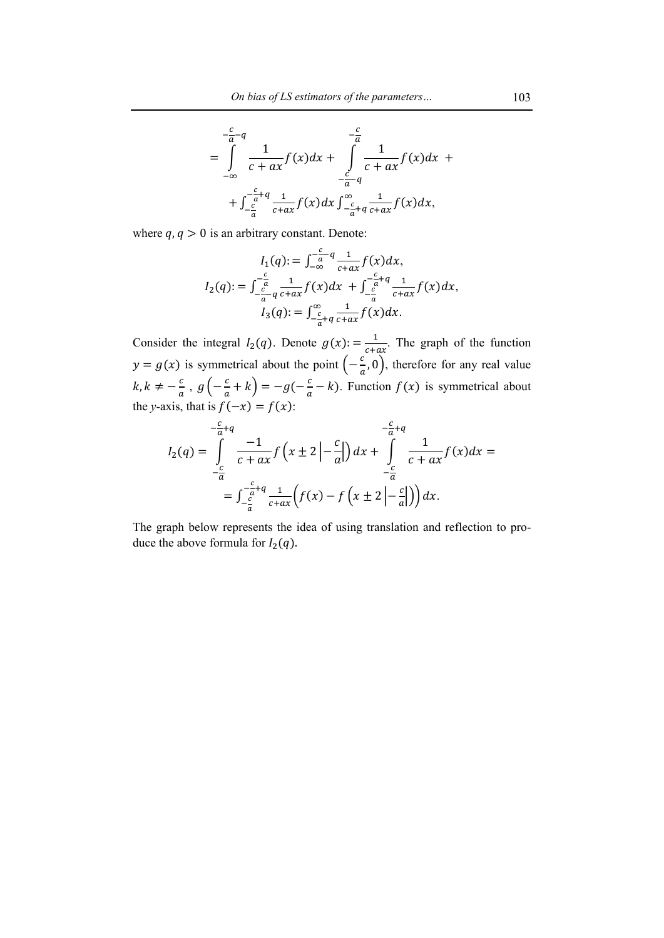$$
= \int_{-\infty}^{-\frac{c}{a}-q} \frac{1}{c+ax} f(x) dx + \int_{-\frac{c}{a}-q}^{-\frac{c}{a}} \frac{1}{c+ax} f(x) dx +
$$
  
+ 
$$
\int_{-\frac{c}{a}}^{-\frac{c}{a}+q} \frac{1}{c+ax} f(x) dx \int_{-\frac{c}{a}+q}^{\infty} \frac{1}{c+ax} f(x) dx,
$$

where  $q, q > 0$  is an arbitrary constant. Denote:

$$
I_1(q) := \int_{-\infty}^{-\frac{c}{a} - q} \frac{1}{c + ax} f(x) dx,
$$
  
\n
$$
I_2(q) := \int_{-\frac{c}{a} - q}^{-\frac{c}{a}} \frac{1}{c + ax} f(x) dx + \int_{-\frac{c}{a}}^{-\frac{c}{a} + q} \frac{1}{c + ax} f(x) dx,
$$
  
\n
$$
I_3(q) := \int_{-\frac{c}{a} + q}^{\infty} \frac{1}{c + ax} f(x) dx.
$$

Consider the integral  $I_2(q)$ . Denote  $g(x) = \frac{1}{c + ax}$ . The graph of the function  $y = g(x)$  is symmetrical about the point  $\left(-\frac{c}{a}, 0\right)$ , therefore for any real value  $k, k \neq -\frac{c}{a}$ ,  $g\left(-\frac{c}{a} + k\right) = -g(-\frac{c}{a} - k)$ . Function  $f(x)$  is symmetrical about the *y*-axis, that is  $f(-x) = f(x)$ :

$$
I_2(q) = \int_{-\frac{c}{a}}^{-\frac{c}{a}+q} \frac{-1}{c+ax} f\left(x \pm 2 \left| -\frac{c}{a} \right| \right) dx + \int_{-\frac{c}{a}}^{-\frac{c}{a}+q} \frac{1}{c+ax} f(x) dx =
$$
  
= 
$$
\int_{-\frac{c}{a}}^{-\frac{c}{a}+q} \frac{1}{c+ax} \left(f(x) - f\left(x \pm 2 \left| -\frac{c}{a} \right| \right) \right) dx.
$$

The graph below represents the idea of using translation and reflection to produce the above formula for  $I_2(q)$ .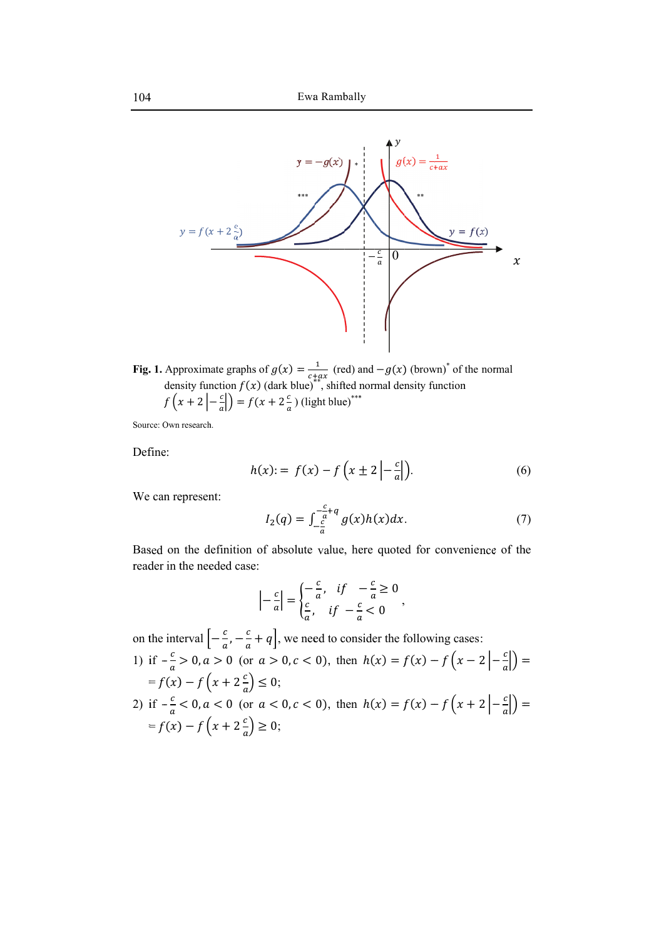

**F Fig. . 1.** f App den f  $(x$ prox nsity  $x +$ xim y fun  $2<sup>1</sup>$ mate ncti  $-\frac{c}{a}$ gra  $\frac{1}{f}$  $\ket$  )  $=$ aphs  $f(x)$  $= f$ s of  $x)$  (d  $(x +$  $g(x)$ dark  $+2$  $(x) =$ k blu  $\epsilon$  $\frac{c}{a}$ )  $\lim_{x \to 0^+}$ (lig  $\mathbf{1}$  $\int_{\ast}^{+}$ ax<br> $\int_{\ast}^{+}$  S ght b (re shift blue ed) a ted n e) \*\*\* and norm \* $-g$ mal  $g(x)$ l den ሻ (b nsit row ty fu wn)\* unct of tion the n normal

Source: Own research.

Define:

$$
h(x) := f(x) - f\left(x \pm 2 \left| -\frac{c}{a} \right| \right).
$$
\n
$$
I_2(q) = \int_{c}^{-\frac{c}{a} + q} g(x)h(x)dx.
$$
\n(7)

We can represent:

$$
I_2(q) = \int_{-\frac{c}{a}}^{-\frac{c}{a}+q} g(x)h(x)dx.
$$
 (7)

Based on the definition of absolute value, here quoted for convenience of the reader in the needed case:

$$
\left| -\frac{c}{a} \right| = \begin{cases} -\frac{c}{a}, & \text{if } -\frac{c}{a} \ge 0 \\ \frac{c}{a}, & \text{if } -\frac{c}{a} < 0 \end{cases}
$$

o on t the inte erval  $\left[-\frac{c}{a}, -\frac{c}{a} + q\right]$ , we need to consider the following cases:

1) if 
$$
-\frac{c}{a} > 0
$$
,  $a > 0$  (or  $a > 0$ ,  $c < 0$ ), then  $h(x) = f(x) - f(x - 2 \left| -\frac{c}{a} \right|) =$   
\n $= f(x) - f(x + 2\frac{c}{a}) \le 0;$   
\n2) if  $-\frac{c}{a} < 0$ ,  $a < 0$  (or  $a < 0$ ,  $c < 0$ ), then  $h(x) = f(x) - f(x + 2 \left| -\frac{c}{a} \right|) =$   
\n $= f(x) - f(x + 2\frac{c}{a}) \ge 0;$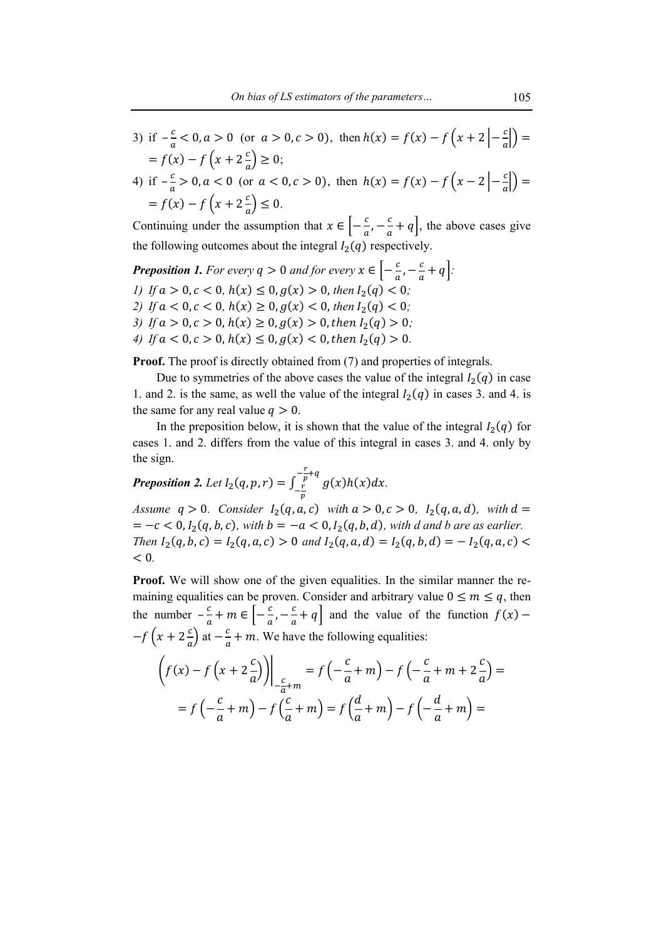- 3) if  $-\frac{c}{a} < 0, a > 0$  (or  $a > 0, c > 0$ ), then  $h(x) = f(x) f(x + 2 \left| -\frac{c}{a} \right|) =$  $= f(x) - f(x) + 2\frac{c}{a} \ge 0;$
- 4) if  $-\frac{c}{a} > 0, a < 0$  (or  $a < 0, c > 0$ ), then  $h(x) = f(x) f(x 2 \left| -\frac{c}{a} \right|) =$  $= f(x) - f(x) + 2\frac{c}{a} \le 0.$

Continuing under the assumption that  $x \in \left[ -\frac{c}{a}, -\frac{c}{a} + q \right]$ , the above cases give the following outcomes about the integral  $I_2(q)$  respectively.

*Preposition 1. For every*  $q > 0$  *and for every*  $x \in \left[ -\frac{c}{a}, -\frac{c}{a} + q \right]$ *: l*) If  $a > 0, c < 0, h(x) \leq 0, g(x) > 0$ , then  $I_2(q) < 0$ ; *2)* If  $a < 0, c < 0, h(x) \ge 0, g(x) < 0$ , then  $I_2(q) < 0$ ; *3*) If  $a > 0, c > 0, h(x) \ge 0, g(x) > 0$ , then  $I_2(q) > 0$ , 4) If  $a < 0, c > 0, h(x) \leq 0, g(x) < 0$ , then  $I_2(q) > 0$ .

**Proof.** The proof is directly obtained from (7) and properties of integrals.

Due to symmetries of the above cases the value of the integral  $I_2(q)$  in case 1. and 2. is the same, as well the value of the integral  $I_2(q)$  in cases 3. and 4. is the same for any real value  $q > 0$ .

In the preposition below, it is shown that the value of the integral  $I_2(q)$  for cases 1. and 2. differs from the value of this integral in cases 3. and 4. only by the sign.

 $\frac{r}{\epsilon}$ **Preposition 2.** Let  $I_2(q, p, r) = \int_{r}^{\frac{r}{p}+q} g(x)h(x)dx$  $-\frac{r}{p}$ *.*

*Assume*  $q > 0$ *. Consider*  $I_2(q, a, c)$  with  $a > 0, c > 0$ ,  $I_2(q, a, d)$ , with  $d =$  $= -c < 0, I_2(q, b, c),$  with  $b = -a < 0, I_2(q, b, d)$ , with d and b are as earlier. Then  $I_2(q, b, c) = I_2(q, a, c) > 0$  and  $I_2(q, a, d) = I_2(q, b, d) = -I_2(q, a, c)$ < 0*.* 

**Proof.** We will show one of the given equalities. In the similar manner the remaining equalities can be proven. Consider and arbitrary value  $0 \le m \le q$ , then the number  $-\frac{c}{a} + m \in \left[-\frac{c}{a}, -\frac{c}{a} + q\right]$  and the value of the function  $f(x)$  –  $-f\left(x+2\frac{c}{a}\right)$  at  $-\frac{c}{a}+m$ . We have the following equalities:

$$
\left(f(x) - f\left(x + 2\frac{c}{a}\right)\right)\Big|_{-\frac{c}{a}+m} = f\left(-\frac{c}{a} + m\right) - f\left(-\frac{c}{a} + m + 2\frac{c}{a}\right) =
$$
\n
$$
= f\left(-\frac{c}{a} + m\right) - f\left(\frac{c}{a} + m\right) = f\left(\frac{d}{a} + m\right) - f\left(-\frac{d}{a} + m\right) =
$$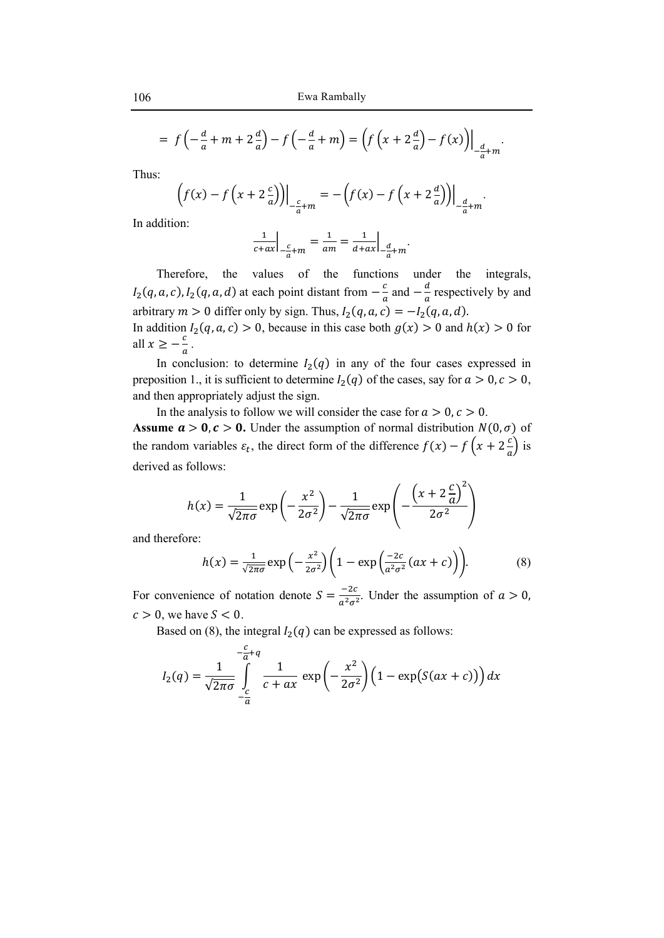$$
= f\left(-\frac{d}{a} + m + 2\frac{d}{a}\right) - f\left(-\frac{d}{a} + m\right) = \left(f\left(x + 2\frac{d}{a}\right) - f(x)\right)\Big|_{-\frac{d}{a} + m}.
$$

Thus:

$$
\left(f(x) - f\left(x + 2\frac{c}{a}\right)\right)\Big|_{-\frac{c}{a} + m} = -\left(f(x) - f\left(x + 2\frac{d}{a}\right)\right)\Big|_{-\frac{d}{a} + m}.
$$

In addition:

$$
\left. \frac{1}{c+ax} \right|_{-\frac{c}{a}+m} = \frac{1}{am} = \frac{1}{d+ax} \Big|_{-\frac{d}{a}+m}.
$$

Therefore, the values of the functions under the integrals,  $I_2(q, a, c)$ ,  $I_2(q, a, d)$  at each point distant from  $-\frac{c}{a}$  and  $-\frac{d}{a}$  respectively by and arbitrary  $m > 0$  differ only by sign. Thus,  $I_2(q, a, c) = -I_2(q, a, d)$ . In addition  $I_2(q, a, c) > 0$ , because in this case both  $g(x) > 0$  and  $h(x) > 0$  for all  $x \geq -\frac{c}{a}$ .

In conclusion: to determine  $I_2(q)$  in any of the four cases expressed in preposition 1., it is sufficient to determine  $I_2(q)$  of the cases, say for  $a > 0, c > 0$ , and then appropriately adjust the sign.

In the analysis to follow we will consider the case for  $a > 0, c > 0$ . **Assume**  $a > 0$ **,**  $c > 0$ **.** Under the assumption of normal distribution  $N(0, \sigma)$  of the random variables  $\varepsilon_t$ , the direct form of the difference  $f(x) - f(x + 2\frac{c}{a})$  is derived as follows:

$$
h(x) = \frac{1}{\sqrt{2\pi\sigma}} \exp\left(-\frac{x^2}{2\sigma^2}\right) - \frac{1}{\sqrt{2\pi\sigma}} \exp\left(-\frac{\left(x + 2\frac{c}{a}\right)^2}{2\sigma^2}\right)
$$

and therefore:

$$
h(x) = \frac{1}{\sqrt{2\pi\sigma}} \exp\left(-\frac{x^2}{2\sigma^2}\right) \left(1 - \exp\left(\frac{-2c}{a^2\sigma^2}(ax + c)\right)\right). \tag{8}
$$

For convenience of notation denote  $S = \frac{-2c}{a^2 \sigma^2}$ . Under the assumption of  $a > 0$ ,  $c > 0$ , we have  $S < 0$ .

Based on (8), the integral  $I_2(q)$  can be expressed as follows:

$$
I_2(q) = \frac{1}{\sqrt{2\pi\sigma}} \int\limits_{-\frac{c}{a}}^{-\frac{c}{a}+q} \frac{1}{c+ax} \exp\left(-\frac{x^2}{2\sigma^2}\right) \left(1 - \exp\left(S(ax+c)\right)\right) dx
$$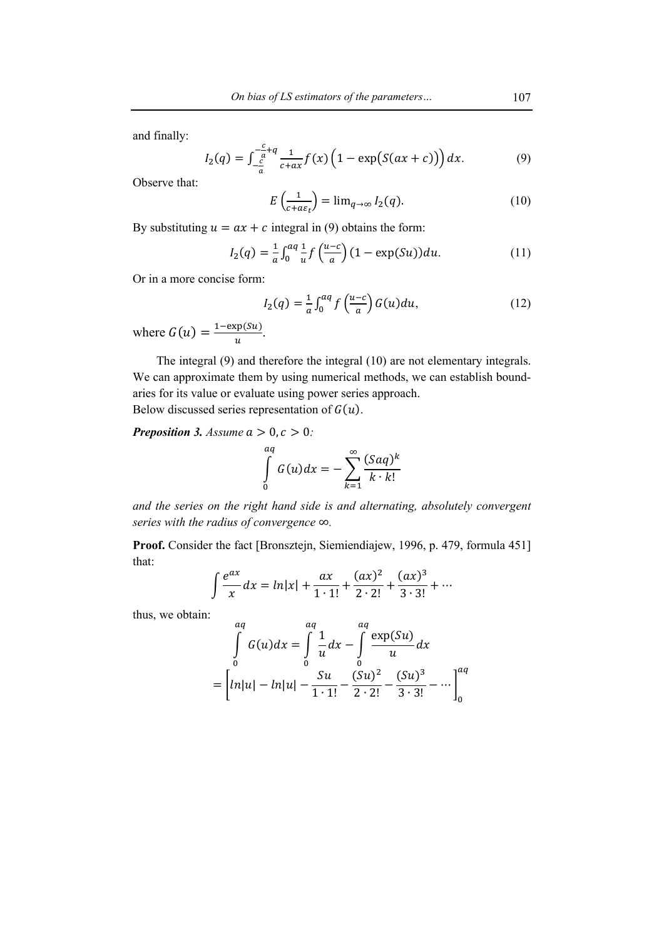and finally:

$$
I_2(q) = \int_{-\frac{c}{a}}^{-\frac{c}{a}+q} \frac{1}{c+a x} f(x) \left(1 - \exp\big(S(ax + c)\big)\right) dx. \tag{9}
$$

Observe that:

$$
E\left(\frac{1}{c+a\varepsilon_t}\right) = \lim_{q \to \infty} I_2(q). \tag{10}
$$

By substituting  $u = ax + c$  integral in (9) obtains the form:

$$
I_2(q) = \frac{1}{a} \int_0^{aq} \frac{1}{u} f\left(\frac{u-c}{a}\right) (1 - \exp(Su)) du.
$$
 (11)

Or in a more concise form:

$$
I_2(q) = \frac{1}{a} \int_0^{aq} f\left(\frac{u-c}{a}\right) G(u) du, \tag{12}
$$

where  $G(u) = \frac{1 - \exp(su)}{u}$ .

The integral (9) and therefore the integral (10) are not elementary integrals. We can approximate them by using numerical methods, we can establish boundaries for its value or evaluate using power series approach. Below discussed series representation of  $G(u)$ .

*Preposition 3. Assume*  $a > 0, c > 0$ *:* 

$$
\int_{0}^{aq} G(u)dx = -\sum_{k=1}^{\infty} \frac{(Saq)^k}{k \cdot k!}
$$

*and the series on the right hand side is and alternating, absolutely convergent series with the radius of convergence* ∞*.* 

**Proof.** Consider the fact [Bronsztejn, Siemiendiajew, 1996, p. 479, formula 451] that:

$$
\int \frac{e^{ax}}{x} dx = \ln|x| + \frac{ax}{1 \cdot 1!} + \frac{(ax)^2}{2 \cdot 2!} + \frac{(ax)^3}{3 \cdot 3!} + \cdots
$$

thus, we obtain:

$$
\int_{0}^{aq} G(u)dx = \int_{0}^{aq} \frac{1}{u}dx - \int_{0}^{aq} \frac{\exp(Su)}{u}dx
$$

$$
= \left[ ln|u| - ln|u| - \frac{Su}{1 \cdot 1!} - \frac{(Su)^2}{2 \cdot 2!} - \frac{(Su)^3}{3 \cdot 3!} - \dots \right]_{0}^{aq}
$$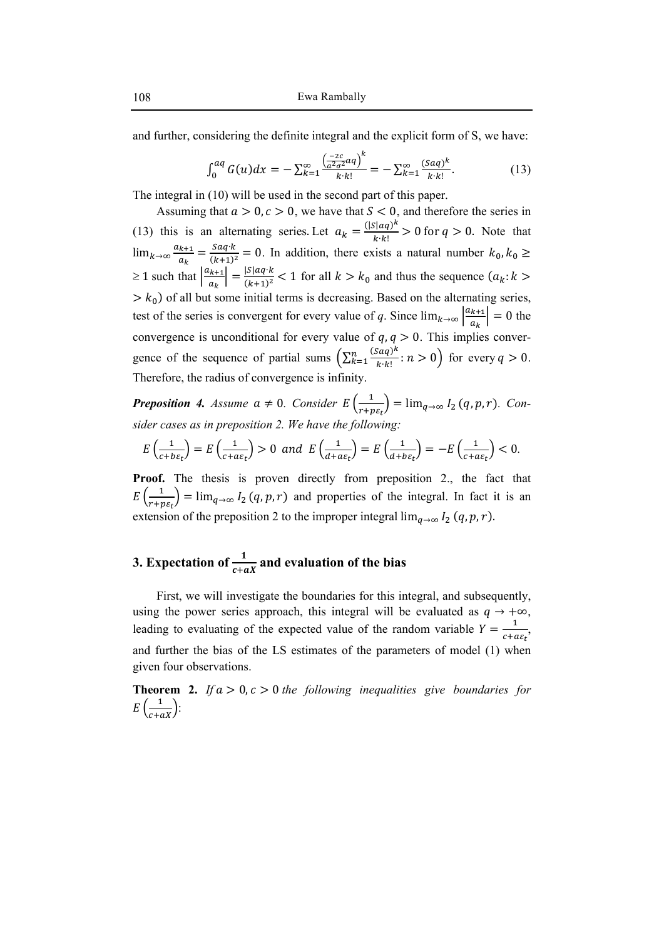and further, considering the definite integral and the explicit form of S, we have:

$$
\int_0^{aq} G(u)dx = -\sum_{k=1}^{\infty} \frac{\left(\frac{-2c}{a^2 \sigma^2} aq\right)^k}{k \cdot k!} = -\sum_{k=1}^{\infty} \frac{(Saq)^k}{k \cdot k!}.
$$
 (13)

The integral in (10) will be used in the second part of this paper.

Assuming that  $a > 0$ ,  $c > 0$ , we have that  $S < 0$ , and therefore the series in (13) this is an alternating series. Let  $a_k = \frac{(|S| \cdot aq)^k}{k \cdot k!} > 0$  for  $q > 0$ . Note that  $\lim_{k\to\infty} \frac{a_{k+1}}{a_k}$  $\frac{g_{k+1}}{g_{k+1}} = \frac{S a q \cdot k}{(k+1)^2} = 0$ . In addition, there exists a natural number  $k_0, k_0 \geq 0$  $\geq 1$  such that  $\frac{a_{k+1}}{n}$  $\left|\frac{k+1}{a_k}\right| = \frac{|S| a q \cdot k}{(k+1)^2} < 1$  for all  $k > k_0$  and thus the sequence  $(a_k : k > k_0)$  $> k_0$ ) of all but some initial terms is decreasing. Based on the alternating series, test of the series is convergent for every value of q. Since  $\lim_{k\to\infty} \left| \frac{a_{k+1}}{a_k} \right|$  $\left|\frac{k+1}{a_k}\right| = 0$  the convergence is unconditional for every value of  $q, q > 0$ . This implies convergence of the sequence of partial sums  $\left(\sum_{k=1}^{n} \frac{(saq)^k}{k \cdot k!}\right)$  $\frac{n}{k-1} \frac{(S a q)^n}{k! k!}$ :  $n > 0$  for every  $q > 0$ . Therefore, the radius of convergence is infinity.

**Preposition 4.** Assume  $a \neq 0$ . Consider  $E\left(\frac{1}{r+p\varepsilon_t}\right) = \lim_{q \to \infty} I_2(q, p, r)$ . Con*sider cases as in preposition 2. We have the following:* 

$$
E\left(\frac{1}{c+b\epsilon_t}\right) = E\left(\frac{1}{c+a\epsilon_t}\right) > 0 \quad \text{and} \quad E\left(\frac{1}{d+a\epsilon_t}\right) = E\left(\frac{1}{d+b\epsilon_t}\right) = -E\left(\frac{1}{c+a\epsilon_t}\right) < 0.
$$

**Proof.** The thesis is proven directly from preposition 2., the fact that  $E\left(\frac{1}{r+p\epsilon_t}\right) = \lim_{q\to\infty} I_2(q,p,r)$  and properties of the integral. In fact it is an extension of the preposition 2 to the improper integral  $\lim_{q\to\infty} I_2(q, p, r)$ .

# **3.** Expectation of  $\frac{1}{c+ax}$  and evaluation of the bias

First, we will investigate the boundaries for this integral, and subsequently, using the power series approach, this integral will be evaluated as  $q \rightarrow +\infty$ , leading to evaluating of the expected value of the random variable  $Y = \frac{1}{c + a\epsilon_t}$ , and further the bias of the LS estimates of the parameters of model (1) when given four observations.

**Theorem 2.** *If*  $a > 0, c > 0$  *the following inequalities give boundaries for*  $E\left(\frac{1}{c+ax}\right)$ :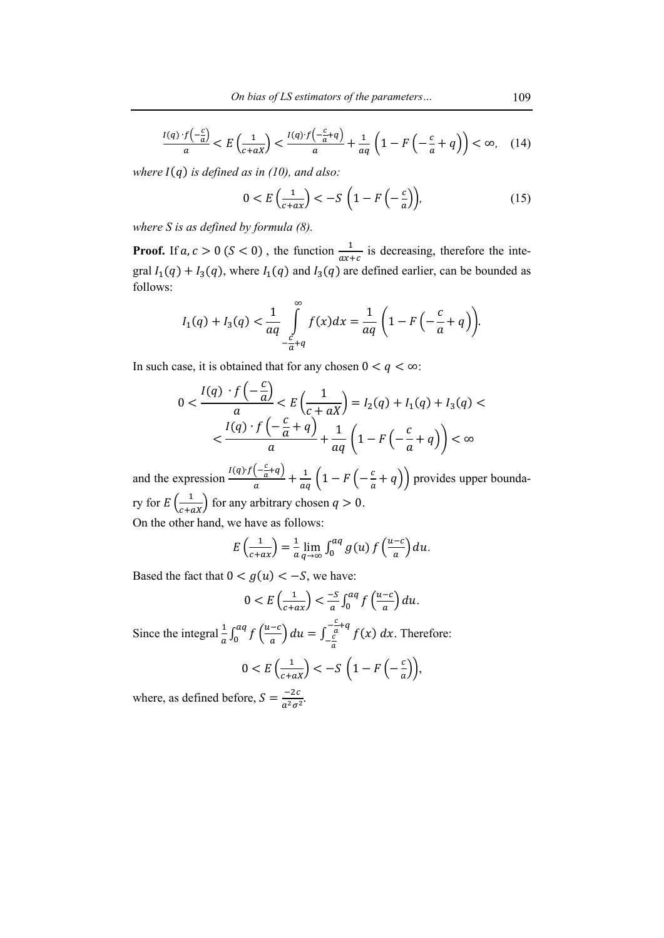$$
\frac{I(q) \cdot f\left(-\frac{c}{a}\right)}{a} < E\left(\frac{1}{c+aX}\right) < \frac{I(q) \cdot f\left(-\frac{c}{a} + q\right)}{a} + \frac{1}{aq} \left(1 - F\left(-\frac{c}{a} + q\right)\right) < \infty, \quad (14)
$$

*where*  $I(q)$  *is defined as in (10), and also:* 

$$
0 < E\left(\frac{1}{c+a\lambda}\right) < -S\left(1 - F\left(-\frac{c}{a}\right)\right),\tag{15}
$$

*where S is as defined by formula (8).* 

**Proof.** If  $a, c > 0$  ( $S < 0$ ), the function  $\frac{1}{ax+c}$  is decreasing, therefore the integral  $I_1(q) + I_3(q)$ , where  $I_1(q)$  and  $I_3(q)$  are defined earlier, can be bounded as follows:

$$
I_1(q) + I_3(q) < \frac{1}{aq} \int\limits_{-c \atop -a + q}^{\infty} f(x) dx = \frac{1}{aq} \left( 1 - F\left(-\frac{c}{a} + q\right) \right).
$$

In such case, it is obtained that for any chosen  $0 < q < \infty$ :

$$
0 < \frac{I(q) \cdot f\left(-\frac{c}{a}\right)}{a} < E\left(\frac{1}{c+aX}\right) = I_2(q) + I_1(q) + I_3(q) < \frac{I(q) \cdot f\left(-\frac{c}{a} + q\right)}{a} + \frac{1}{aq} \left(1 - F\left(-\frac{c}{a} + q\right)\right) < \infty
$$

and the expression  $\frac{I(q)f(-\frac{c}{a}+q)}{a} + \frac{1}{aq}\left(1 - F\left(-\frac{c}{a}+q\right)\right)$  provides upper boundary for  $E\left(\frac{1}{c+aX}\right)$  for any arbitrary chosen  $q > 0$ .

On the other hand, we have as follows:

$$
E\left(\frac{1}{c+a x}\right) = \frac{1}{a}\lim_{q\to\infty}\int_0^{aq} g(u) f\left(\frac{u-c}{a}\right) du.
$$

Based the fact that  $0 < g(u) < -S$ , we have:

$$
0 < E\left(\frac{1}{c+a\lambda}\right) < \frac{-S}{a} \int_0^{aq} f\left(\frac{u-c}{a}\right) du.
$$

Since the integral  $\frac{1}{a} \int_0^{aq} f\left(\frac{u-c}{a}\right) du = \int_{-\frac{c}{a}}^{-\frac{c}{a}}$  $\int_0^{u} f\left(\frac{u-c}{a}\right) du = \int_{-\frac{c}{a}}^{a} f(x) dx$  $\frac{c}{a}$ +q  $-\frac{c}{a}$ . Therefore:

$$
0 < E\left(\frac{1}{c + aX}\right) < -S\left(1 - F\left(-\frac{c}{a}\right)\right),
$$

where, as defined before,  $S = \frac{-2c}{a^2 \sigma^2}$ .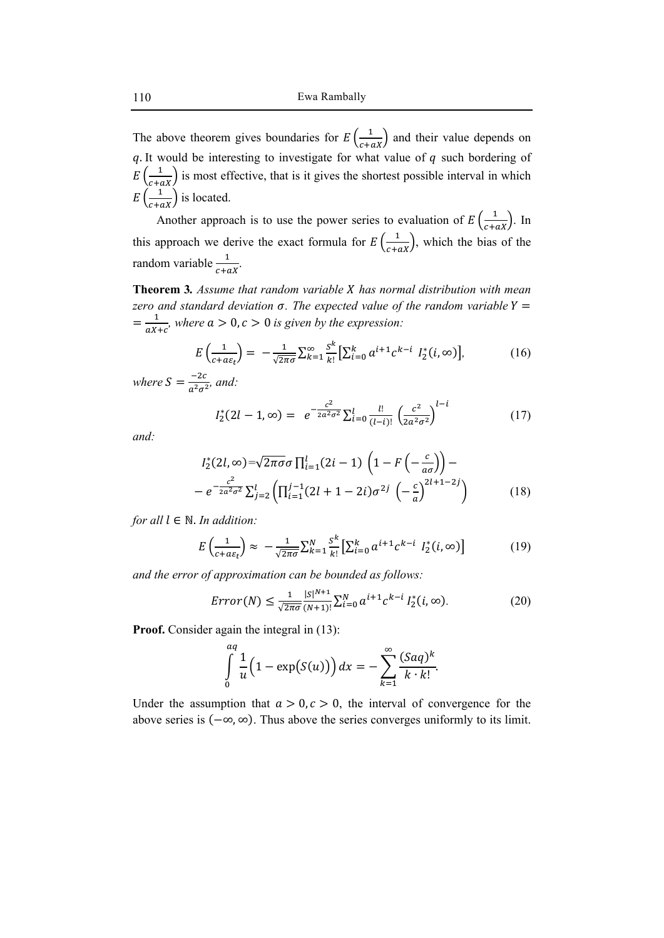The above theorem gives boundaries for  $E\left(\frac{1}{c+aX}\right)$  and their value depends on  $q$ . It would be interesting to investigate for what value of  $q$  such bordering of  $E\left(\frac{1}{c+ax}\right)$  is most effective, that is it gives the shortest possible interval in which  $E\left(\frac{1}{c+ax}\right)$  is located.

Another approach is to use the power series to evaluation of  $E\left(\frac{1}{c+aX}\right)$ . In this approach we derive the exact formula for  $E\left(\frac{1}{c+aX}\right)$ , which the bias of the random variable  $\frac{1}{c+ax}$ .

**Theorem 3.** *Assume that random variable X has normal distribution with mean zero and standard deviation*  $\sigma$ *. The expected value of the random variable*  $Y =$  $=\frac{1}{aX+c}$ , where  $a>0$ ,  $c>0$  is given by the expression:

$$
E\left(\frac{1}{c+a\varepsilon_t}\right) = -\frac{1}{\sqrt{2\pi\sigma}}\sum_{k=1}^{\infty} \frac{s^k}{k!} \left[\sum_{i=0}^k a^{i+1} c^{k-i} I_2^*(i,\infty)\right],\tag{16}
$$

where  $S = \frac{-2c}{a^2 \sigma^2}$ , and:

$$
I_2^*(2l-1,\infty) = e^{-\frac{c^2}{2a^2\sigma^2}} \sum_{i=0}^l \frac{l!}{(l-i)!} \left(\frac{c^2}{2a^2\sigma^2}\right)^{l-i}
$$
(17)

*and:* 

$$
I_2^*(2l, \infty) = \sqrt{2\pi\sigma} \sigma \prod_{i=1}^l (2i-1) \left(1 - F\left(-\frac{c}{a\sigma}\right)\right) -
$$

$$
- e^{-\frac{c^2}{2a^2\sigma^2}} \sum_{j=2}^l \left(\prod_{i=1}^{j-1} (2l+1-2i)\sigma^{2j} \left(-\frac{c}{a}\right)^{2l+1-2j}\right) \tag{18}
$$

*for all*  $l \in \mathbb{N}$ *. In addition:* 

$$
E\left(\frac{1}{c+a\varepsilon_t}\right) \approx -\frac{1}{\sqrt{2\pi\sigma}} \sum_{k=1}^N \sum_{k=1}^k \left[\sum_{i=0}^k a^{i+1} c^{k-i} I_2^*(i,\infty)\right]
$$
(19)

*and the error of approximation can be bounded as follows:* 

$$
Error(N) \le \frac{1}{\sqrt{2\pi\sigma}} \frac{|S|^{N+1}}{(N+1)!} \sum_{i=0}^{N} a^{i+1} c^{k-i} I_2^*(i, \infty).
$$
 (20)

**Proof.** Consider again the integral in  $(13)$ :

$$
\int\limits_{0}^{aq} \frac{1}{u} \Big(1 - \exp(S(u))\Big) dx = -\sum\limits_{k=1}^{\infty} \frac{(Saq)^k}{k \cdot k!}.
$$

Under the assumption that  $a > 0, c > 0$ , the interval of convergence for the above series is (−∞, ∞). Thus above the series converges uniformly to its limit.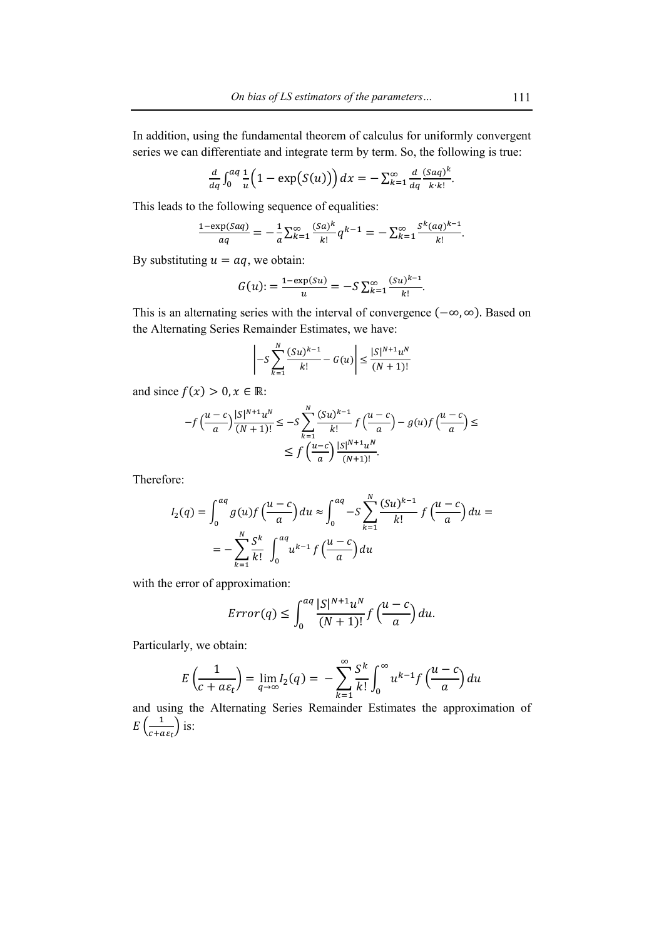In addition, using the fundamental theorem of calculus for uniformly convergent series we can differentiate and integrate term by term. So, the following is true:

$$
\frac{d}{dq}\int_0^{aq}\frac{1}{u}\left(1-\exp\big(S(u)\big)\right)dx=-\sum_{k=1}^{\infty}\frac{d}{dq}\frac{(Saq)^k}{k\cdot k!}.
$$

This leads to the following sequence of equalities:

$$
\frac{1-\exp(Saq)}{aq} = -\frac{1}{a}\sum_{k=1}^{\infty} \frac{(Sa)^k}{k!}q^{k-1} = -\sum_{k=1}^{\infty} \frac{s^k(aq)^{k-1}}{k!}.
$$

By substituting  $u = aq$ , we obtain:

$$
G(u) := \frac{1 - \exp(su)}{u} = -S \sum_{k=1}^{\infty} \frac{(su)^{k-1}}{k!}.
$$

This is an alternating series with the interval of convergence (−∞, ∞). Based on the Alternating Series Remainder Estimates, we have:

$$
\left| -S\sum_{k=1}^{N} \frac{(Su)^{k-1}}{k!} - G(u) \right| \le \frac{|S|^{N+1}u^N}{(N+1)!}
$$

and since  $f(x) > 0, x \in \mathbb{R}$ :

$$
-f\left(\frac{u-c}{a}\right)\frac{|S|^{N+1}u^N}{(N+1)!} \le -S\sum_{k=1}^N \frac{(Su)^{k-1}}{k!} f\left(\frac{u-c}{a}\right) - g(u)f\left(\frac{u-c}{a}\right) \le
$$
  

$$
\le f\left(\frac{u-c}{a}\right)\frac{|S|^{N+1}u^N}{(N+1)!}.
$$

Therefore:

$$
I_2(q) = \int_0^{aq} g(u)f\left(\frac{u-c}{a}\right) du \approx \int_0^{aq} -S \sum_{k=1}^N \frac{(Su)^{k-1}}{k!} f\left(\frac{u-c}{a}\right) du =
$$
  
= 
$$
-\sum_{k=1}^N \frac{S^k}{k!} \int_0^{aq} u^{k-1} f\left(\frac{u-c}{a}\right) du
$$

with the error of approximation:

$$
Error(q) \le \int_0^{aq} \frac{|S|^{N+1} u^N}{(N+1)!} f\left(\frac{u-c}{a}\right) du.
$$

Particularly, we obtain:

$$
E\left(\frac{1}{c+a\varepsilon_t}\right) = \lim_{q \to \infty} I_2(q) = -\sum_{k=1}^{\infty} \frac{S^k}{k!} \int_0^{\infty} u^{k-1} f\left(\frac{u-c}{a}\right) du
$$

and using the Alternating Series Remainder Estimates the approximation of  $E\left(\frac{1}{c+a\epsilon_t}\right)$  is: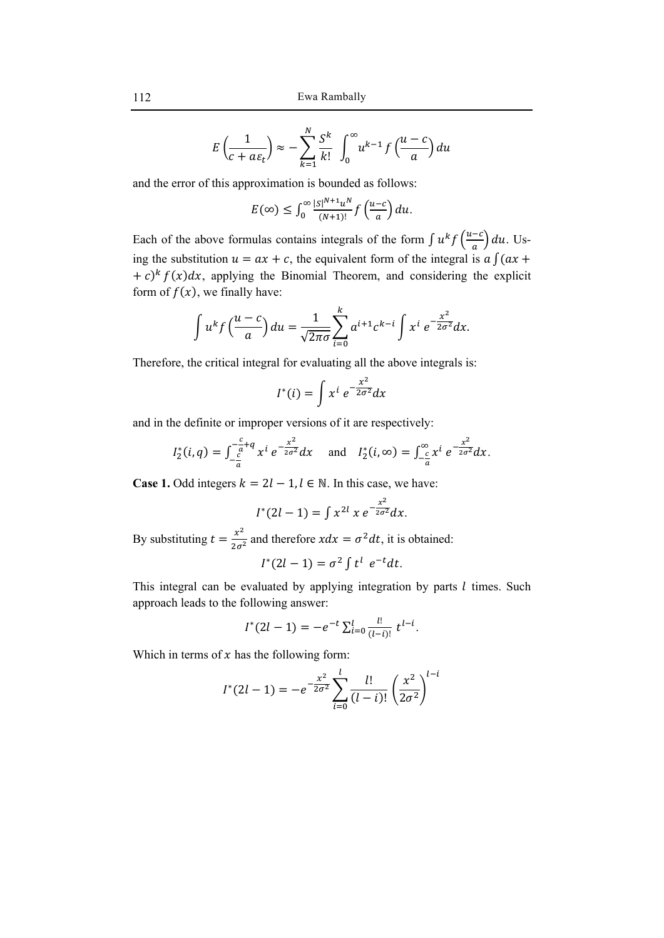$$
E\left(\frac{1}{c+a\varepsilon_t}\right) \approx -\sum_{k=1}^N \frac{S^k}{k!} \int_0^\infty u^{k-1} f\left(\frac{u-c}{a}\right) du
$$

and the error of this approximation is bounded as follows:

$$
E(\infty) \le \int_0^\infty \frac{|s|^{N+1} u^N}{(N+1)!} f\left(\frac{u-c}{a}\right) du.
$$

Each of the above formulas contains integrals of the form  $\int u^k f\left(\frac{u-c}{a}\right) du$ . Using the substitution  $u = ax + c$ , the equivalent form of the integral is  $a \int (ax + b)$  $+ c$ <sup>k</sup>  $f(x)dx$ , applying the Binomial Theorem, and considering the explicit form of  $f(x)$ , we finally have:

$$
\int u^k f\left(\frac{u-c}{a}\right) du = \frac{1}{\sqrt{2\pi\sigma}} \sum_{i=0}^k a^{i+1} c^{k-i} \int x^i e^{-\frac{x^2}{2\sigma^2}} dx.
$$

Therefore, the critical integral for evaluating all the above integrals is:

$$
I^*(i) = \int x^i e^{-\frac{x^2}{2\sigma^2}} dx
$$

and in the definite or improper versions of it are respectively:

$$
I_2^*(i,q) = \int_{-\frac{c}{a}}^{-\frac{c}{a}+q} x^i e^{-\frac{x^2}{2\sigma^2}} dx \quad \text{and} \quad I_2^*(i,\infty) = \int_{-\frac{c}{a}}^{\infty} x^i e^{-\frac{x^2}{2\sigma^2}} dx.
$$

**Case 1.** Odd integers  $k = 2l - 1$ ,  $l \in \mathbb{N}$ . In this case, we have:

$$
I^*(2l-1) = \int x^{2l} x \, e^{-\frac{x^2}{2\sigma^2}} dx.
$$

By substituting  $t = \frac{x^2}{2\sigma^2}$  and therefore  $xdx = \sigma^2 dt$ , it is obtained:

$$
I^*(2l-1) = \sigma^2 \int t^l e^{-t} dt.
$$

This integral can be evaluated by applying integration by parts  $l$  times. Such approach leads to the following answer:

$$
I^*(2l-1) = -e^{-t} \sum_{i=0}^l \frac{l!}{(l-i)!} t^{l-i}.
$$

Which in terms of  $x$  has the following form:

$$
I^*(2l-1) = -e^{-\frac{x^2}{2\sigma^2}} \sum_{i=0}^{l} \frac{l!}{(l-i)!} \left(\frac{x^2}{2\sigma^2}\right)^{l-i}
$$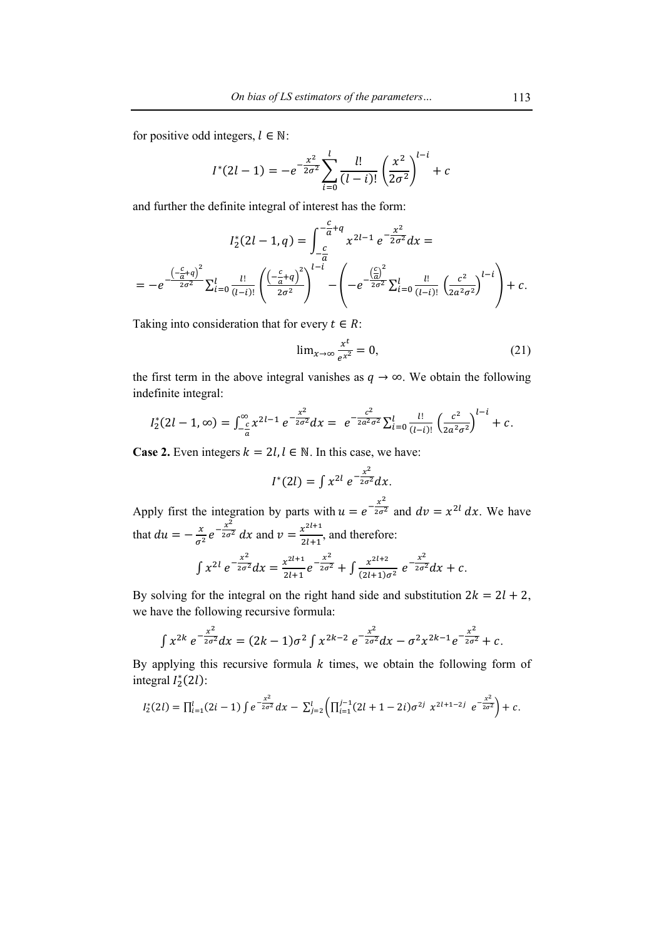for positive odd integers,  $l \in \mathbb{N}$ :

$$
I^*(2l-1) = -e^{-\frac{x^2}{2\sigma^2}} \sum_{i=0}^l \frac{l!}{(l-i)!} \left(\frac{x^2}{2\sigma^2}\right)^{l-i} + c
$$

and further the definite integral of interest has the form:

$$
I_2^*(2l - 1, q) = \int_{-\frac{c}{a}}^{-\frac{c}{a} + q} x^{2l - 1} e^{-\frac{x^2}{2\sigma^2}} dx =
$$
  
= 
$$
-e^{-\frac{\left(-\frac{c}{a} + q\right)^2}{2\sigma^2}} \sum_{i=0}^l \frac{l!}{(l-i)!} \left(\frac{\left(-\frac{c}{a} + q\right)^2}{2\sigma^2}\right)^{l-i} - \left(-e^{-\frac{\left(\frac{c}{a}\right)^2}{2\sigma^2}} \sum_{i=0}^l \frac{l!}{(l-i)!} \left(\frac{c^2}{2a^2\sigma^2}\right)^{l-i}\right) + c.
$$

Taking into consideration that for every  $t \in R$ :

$$
\lim_{x \to \infty} \frac{x^t}{e^{x^2}} = 0,\tag{21}
$$

the first term in the above integral vanishes as  $q \rightarrow \infty$ . We obtain the following indefinite integral:

$$
I_2^*(2l-1,\infty)=\int_{-\frac{c}{a}}^{\infty}x^{2l-1}e^{-\frac{x^2}{2\sigma^2}}dx=e^{-\frac{c^2}{2a^2\sigma^2}}\sum_{i=0}^l\frac{l!}{(l-i)!}\left(\frac{c^2}{2a^2\sigma^2}\right)^{l-i}+c.
$$

**Case 2.** Even integers  $k = 2l, l \in \mathbb{N}$ . In this case, we have:

$$
I^*(2l) = \int x^{2l} e^{-\frac{x^2}{2\sigma^2}} dx.
$$

Apply first the integration by parts with  $u = e^{-\frac{x^2}{2\sigma^2}}$  and  $dv = x^{2l} dx$ . We have that  $du = -\frac{x}{\sigma^2} e^{-\frac{x^2}{2\sigma^2}} dx$  and  $v = \frac{x^{2l+1}}{2l+1}$ , and therefore:

$$
\int x^{2l} e^{-\frac{x^2}{2\sigma^2}} dx = \frac{x^{2l+1}}{2l+1} e^{-\frac{x^2}{2\sigma^2}} + \int \frac{x^{2l+2}}{(2l+1)\sigma^2} e^{-\frac{x^2}{2\sigma^2}} dx + c.
$$

By solving for the integral on the right hand side and substitution  $2k = 2l + 2$ , we have the following recursive formula:

$$
\int x^{2k} e^{-\frac{x^2}{2\sigma^2}} dx = (2k-1)\sigma^2 \int x^{2k-2} e^{-\frac{x^2}{2\sigma^2}} dx - \sigma^2 x^{2k-1} e^{-\frac{x^2}{2\sigma^2}} + c.
$$

By applying this recursive formula  $k$  times, we obtain the following form of integral  $I_2^*(2l)$ :

$$
I_2^*(2l) = \prod_{i=1}^l (2i-1) \int e^{-\frac{x^2}{2\sigma^2}} dx - \sum_{j=2}^l \left( \prod_{i=1}^{j-1} (2l+1-2i) \sigma^{2j} \ x^{2l+1-2j} \ e^{-\frac{x^2}{2\sigma^2}} \right) + c.
$$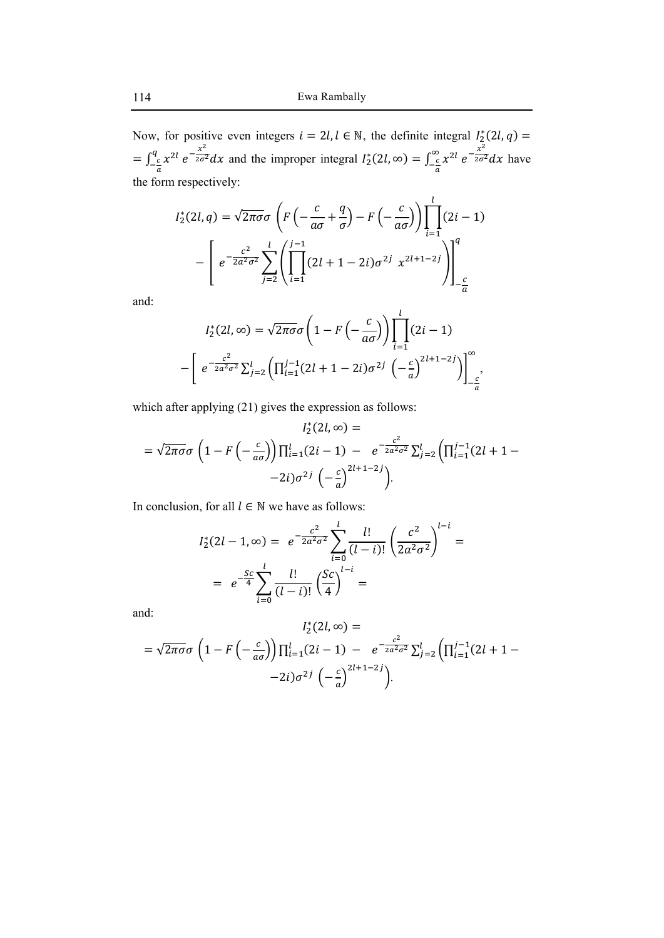Now, for positive even integers  $i = 2l, l \in \mathbb{N}$ , the definite integral  $I_2^*(2l, q) =$  $=\int_{-\frac{c}{a}}^{q} x^{2l} e^{-\frac{x^2}{2\sigma^2}} dx$  and the improper integral  $I_2^*$  $\int_{2}^{*} (2l, ∞) = \int_{-\frac{c}{a}}^{\infty} x^{2l} e^{-\frac{x^2}{2\sigma^2}} dx$  have the form respectively:

$$
I_2^*(2l,q) = \sqrt{2\pi\sigma}\sigma \left(F\left(-\frac{c}{a\sigma} + \frac{q}{\sigma}\right) - F\left(-\frac{c}{a\sigma}\right)\right)\prod_{i=1}^l (2i-1)
$$

$$
-\left[e^{-\frac{c^2}{2a^2\sigma^2}}\sum_{j=2}^l \left(\prod_{i=1}^{j-1} (2l+1-2i)\sigma^{2j} x^{2l+1-2j}\right)\right]_{-\frac{c}{a}}^q
$$

and:

$$
I_2^*(2l, \infty) = \sqrt{2\pi\sigma}\sigma \left(1 - F\left(-\frac{c}{a\sigma}\right)\right) \prod_{i=1}^l (2i - 1)
$$

$$
-\left[e^{-\frac{c^2}{2a^2\sigma^2}} \sum_{j=2}^l \left(\prod_{i=1}^{j-1} (2l + 1 - 2i)\sigma^{2j} \left(-\frac{c}{a}\right)^{2l+1-2j}\right)\right]_{-\frac{c}{a}}^{\infty},
$$

which after applying (21) gives the expression as follows:

$$
I_2^*(2l, \infty) =
$$
  
=  $\sqrt{2\pi\sigma}\sigma \left(1 - F\left(-\frac{c}{a\sigma}\right)\right) \prod_{i=1}^l (2i - 1) - e^{-\frac{c^2}{2a^2\sigma^2}} \sum_{j=2}^l \left(\prod_{i=1}^{j-1} (2l + 1 - 2i)\sigma^{2j} \left(-\frac{c}{a}\right)^{2l+1-2j}\right).$ 

In conclusion, for all  $l \in \mathbb{N}$  we have as follows:

$$
I_2^*(2l - 1, \infty) = e^{-\frac{c^2}{2a^2\sigma^2}} \sum_{i=0}^l \frac{l!}{(l-i)!} \left(\frac{c^2}{2a^2\sigma^2}\right)^{l-i} =
$$
  
=  $e^{-\frac{Sc}{4}} \sum_{i=0}^l \frac{l!}{(l-i)!} \left(\frac{Sc}{4}\right)^{l-i} =$ 

and:

$$
I_2^*(2l, \infty) =
$$
  
=  $\sqrt{2\pi\sigma}\sigma \left(1 - F\left(-\frac{c}{a\sigma}\right)\right) \prod_{i=1}^l (2i - 1) - e^{-\frac{c^2}{2a^2\sigma^2}} \sum_{j=2}^l \left(\prod_{i=1}^{j-1} (2l + 1 -$ 
$$
-2i)\sigma^{2j} \left(-\frac{c}{a}\right)^{2l+1-2j}\right).
$$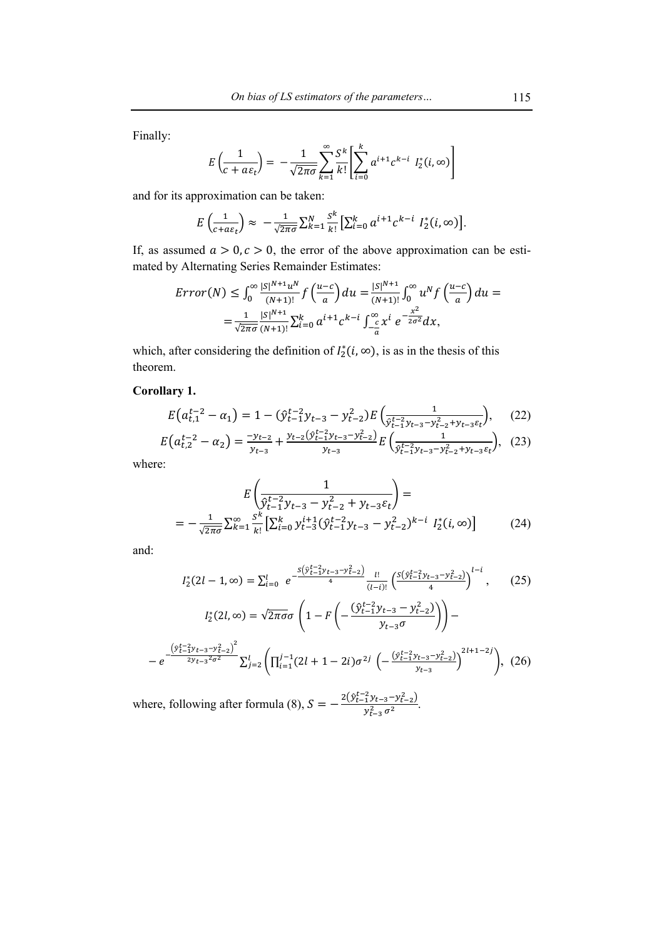Finally:

$$
E\left(\frac{1}{c+a\varepsilon_t}\right) = -\frac{1}{\sqrt{2\pi\sigma}}\sum_{k=1}^{\infty}\frac{S^k}{k!}\left[\sum_{i=0}^k a^{i+1}c^{k-i} I_2^*(i,\infty)\right]
$$

and for its approximation can be taken:

$$
E\left(\frac{1}{c+a\epsilon_t}\right) \approx -\frac{1}{\sqrt{2\pi\sigma}}\sum_{k=1}^N \frac{s^k}{k!} \left[\sum_{i=0}^k a^{i+1}c^{k-i} I_2^*(i,\infty)\right].
$$

If, as assumed  $a > 0, c > 0$ , the error of the above approximation can be estimated by Alternating Series Remainder Estimates:

$$
Error(N) \leq \int_0^\infty \frac{|s|^{N+1} u^N}{(N+1)!} f\left(\frac{u-c}{a}\right) du = \frac{|s|^{N+1}}{(N+1)!} \int_0^\infty u^N f\left(\frac{u-c}{a}\right) du =
$$
  
= 
$$
\frac{1}{\sqrt{2\pi\sigma}} \frac{|s|^{N+1}}{(N+1)!} \sum_{i=0}^k a^{i+1} c^{k-i} \int_{-\frac{c}{a}}^\infty x^i e^{-\frac{x^2}{2\sigma^2}} dx,
$$

which, after considering the definition of  $I_2^*(i, \infty)$ , is as in the thesis of this theorem.

### **Corollary 1.**

$$
E\left(a_{t,1}^{t-2} - a_1\right) = 1 - \left(\hat{y}_{t-1}^{t-2} y_{t-3} - y_{t-2}^2\right) E\left(\frac{1}{\hat{y}_{t-1}^{t-2} y_{t-3} - y_{t-2}^2 + y_{t-3} \varepsilon_t}\right),\tag{22}
$$

$$
E\left(a_{t,2}^{t-2} - \alpha_2\right) = \frac{-y_{t-2}}{y_{t-3}} + \frac{y_{t-2}(\hat{y}_{t-1}^{t-2}y_{t-3} - y_{t-2}^2)}{y_{t-3}} E\left(\frac{1}{\hat{y}_{t-1}^{t-2}y_{t-3} - y_{t-2}^2 + y_{t-3}\epsilon_t}\right), (23)
$$

where:

$$
E\left(\frac{1}{\hat{y}_{t-1}^{t-2}y_{t-3} - y_{t-2}^2 + y_{t-3}\varepsilon_t}\right) =
$$
  
= 
$$
-\frac{1}{\sqrt{2\pi\sigma}}\sum_{k=1}^{\infty} \frac{s^k}{k!} \left[\sum_{i=0}^k y_{t-3}^{i+1} (\hat{y}_{t-1}^{t-2}y_{t-3} - y_{t-2}^2)^{k-i} I_2^*(i,\infty)\right]
$$
(24)

and:

$$
I_{2}^{*}(2l-1,\infty) = \sum_{i=0}^{l} e^{-\frac{S(\hat{y}_{t-1}^{t-2}y_{t-3}-y_{t-2}^{2})}{4}} \frac{l!}{(l-i)!} \left(\frac{S(\hat{y}_{t-1}^{t-2}y_{t-3}-y_{t-2}^{2})}{4}\right)^{l-i}, \qquad (25)
$$

$$
I_{2}^{*}(2l,\infty) = \sqrt{2\pi\sigma}\sigma \left(1 - F\left(-\frac{(\hat{y}_{t-1}^{t-2}y_{t-3}-y_{t-2}^{2})}{y_{t-3}\sigma}\right)\right) -
$$

$$
-e^{-\frac{\left(\hat{y}_{t-1}^{t-2}y_{t-3}-y_{t-2}^{2}\right)^{2}}{2y_{t-3}^{2}\sigma^{2}}}\sum_{j=2}^{l} \left(\prod_{i=1}^{j-1} (2l+1-2i)\sigma^{2j} \left(-\frac{(\hat{y}_{t-1}^{t-2}y_{t-3}-y_{t-2}^{2})}{y_{t-3}}\right)^{2l+1-2j}\right), \qquad (26)
$$

where, following after formula (8),  $S = -\frac{2(\hat{y}_{t-1}^{t-2} y_{t-3} - y_{t-2}^2)}{n^2}$  $\frac{1 \mathcal{Y} t - 3 - \mathcal{Y} t - 2 \mathcal{Y}}{\mathcal{Y}_{t-3}^2 \sigma^2}.$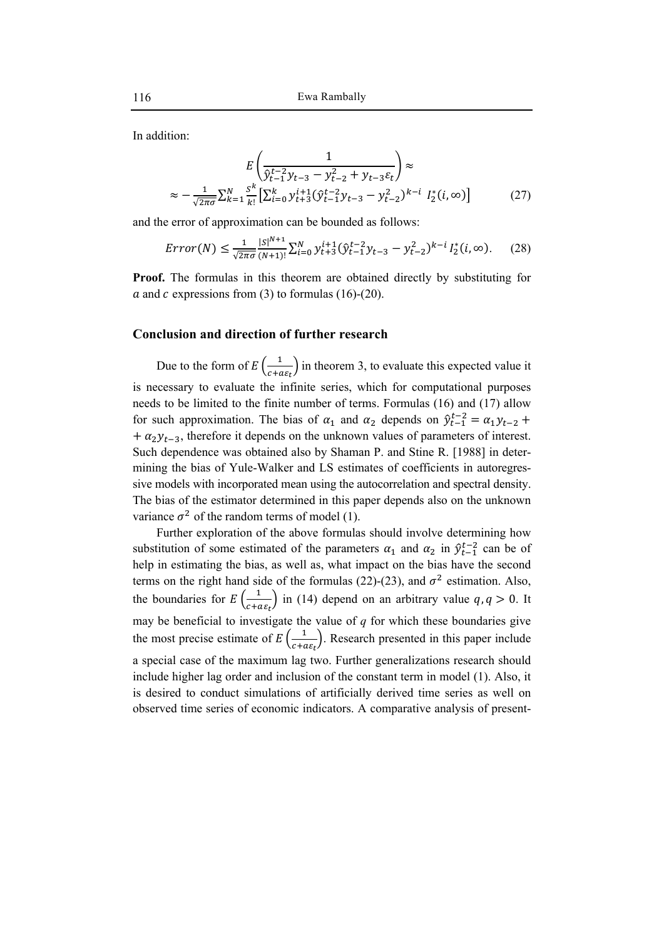In addition:

$$
E\left(\frac{1}{\hat{y}_{t-1}^{t-2}y_{t-3} - y_{t-2}^2 + y_{t-3}\varepsilon_t}\right) \approx
$$
  
 
$$
\approx -\frac{1}{\sqrt{2\pi\sigma}}\sum_{k=1}^N \sum_{i=1}^s \left[\sum_{i=0}^k y_{t+3}^{i+1} (\hat{y}_{t-1}^{t-2}y_{t-3} - y_{t-2}^2)^{k-i} I_2^*(i,\infty)\right]
$$
 (27)

and the error of approximation can be bounded as follows:

$$
Error(N) \le \frac{1}{\sqrt{2\pi\sigma}} \frac{|s|^{N+1}}{(N+1)!} \sum_{i=0}^{N} y_{t+3}^{i+1} (\hat{y}_{t-1}^{t-2} y_{t-3} - y_{t-2}^2)^{k-i} I_2^*(i, \infty).
$$
 (28)

**Proof.** The formulas in this theorem are obtained directly by substituting for  $\alpha$  and  $\alpha$  expressions from (3) to formulas (16)-(20).

### **Conclusion and direction of further research**

Due to the form of  $E\left(\frac{1}{c+a\epsilon_t}\right)$  in theorem 3, to evaluate this expected value it is necessary to evaluate the infinite series, which for computational purposes needs to be limited to the finite number of terms. Formulas (16) and (17) allow for such approximation. The bias of  $\alpha_1$  and  $\alpha_2$  depends on  $\hat{y}_{t-1}^{t-2} = \alpha_1 y_{t-2} + \alpha_2 y_{t-1}$  $+\alpha_2 y_{t-3}$ , therefore it depends on the unknown values of parameters of interest. Such dependence was obtained also by Shaman P. and Stine R. [1988] in determining the bias of Yule-Walker and LS estimates of coefficients in autoregressive models with incorporated mean using the autocorrelation and spectral density. The bias of the estimator determined in this paper depends also on the unknown variance  $\sigma^2$  of the random terms of model (1).

Further exploration of the above formulas should involve determining how substitution of some estimated of the parameters  $\alpha_1$  and  $\alpha_2$  in  $\hat{\mathcal{Y}}_{t-1}^{t-2}$  can be of help in estimating the bias, as well as, what impact on the bias have the second terms on the right hand side of the formulas (22)-(23), and  $\sigma^2$  estimation. Also, the boundaries for  $E\left(\frac{1}{c+a\varepsilon_t}\right)$  in (14) depend on an arbitrary value  $q, q > 0$ . It may be beneficial to investigate the value of  $q$  for which these boundaries give the most precise estimate of  $E\left(\frac{1}{c+a\varepsilon_t}\right)$ . Research presented in this paper include a special case of the maximum lag two. Further generalizations research should include higher lag order and inclusion of the constant term in model (1). Also, it is desired to conduct simulations of artificially derived time series as well on observed time series of economic indicators. A comparative analysis of present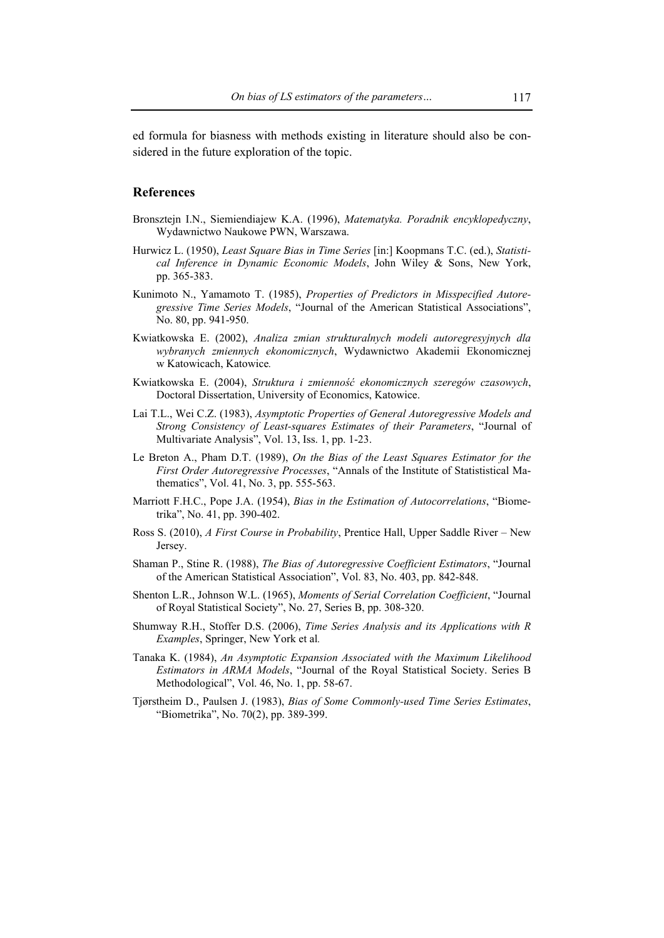ed formula for biasness with methods existing in literature should also be considered in the future exploration of the topic.

### **References**

- Bronsztejn I.N., Siemiendiajew K.A. (1996), *Matematyka. Poradnik encyklopedyczny*, Wydawnictwo Naukowe PWN, Warszawa.
- Hurwicz L. (1950), *Least Square Bias in Time Series* [in:] Koopmans T.C. (ed.), *Statistical Inference in Dynamic Economic Models*, John Wiley & Sons, New York, pp. 365-383.
- Kunimoto N., Yamamoto T. (1985), *Properties of Predictors in Misspecified Autoregressive Time Series Models*, "Journal of the American Statistical Associations", No. 80, pp. 941-950.
- Kwiatkowska E. (2002), *Analiza zmian strukturalnych modeli autoregresyjnych dla wybranych zmiennych ekonomicznych*, Wydawnictwo Akademii Ekonomicznej w Katowicach, Katowice*.*
- Kwiatkowska E. (2004), *Struktura i zmienność ekonomicznych szeregów czasowych*, Doctoral Dissertation, University of Economics, Katowice.
- Lai T.L., Wei C.Z. (1983), *Asymptotic Properties of General Autoregressive Models and Strong Consistency of Least-squares Estimates of their Parameters*, "Journal of Multivariate Analysis", Vol. 13, Iss. 1, pp. 1-23.
- Le Breton A., Pham D.T. (1989), *On the Bias of the Least Squares Estimator for the First Order Autoregressive Processes*, "Annals of the Institute of Statististical Mathematics", Vol. 41, No. 3, pp. 555-563.
- Marriott F.H.C., Pope J.A. (1954), *Bias in the Estimation of Autocorrelations*, "Biometrika", No. 41, pp. 390-402.
- Ross S. (2010), *A First Course in Probability*, Prentice Hall, Upper Saddle River New Jersey.
- Shaman P., Stine R. (1988), *The Bias of Autoregressive Coefficient Estimators*, "Journal of the American Statistical Association", Vol. 83, No. 403, pp. 842-848.
- Shenton L.R., Johnson W.L. (1965), *Moments of Serial Correlation Coefficient*, "Journal of Royal Statistical Society", No. 27, Series B, pp. 308-320.
- Shumway R.H., Stoffer D.S. (2006), *Time Series Analysis and its Applications with R Examples*, Springer, New York et al*.*
- Tanaka K. (1984), *An Asymptotic Expansion Associated with the Maximum Likelihood Estimators in ARMA Models*, "Journal of the Royal Statistical Society. Series B Methodological", Vol. 46, No. 1, pp. 58-67.
- Tjørstheim D., Paulsen J. (1983), *Bias of Some Commonly-used Time Series Estimates*, "Biometrika", No. 70(2), pp. 389-399.